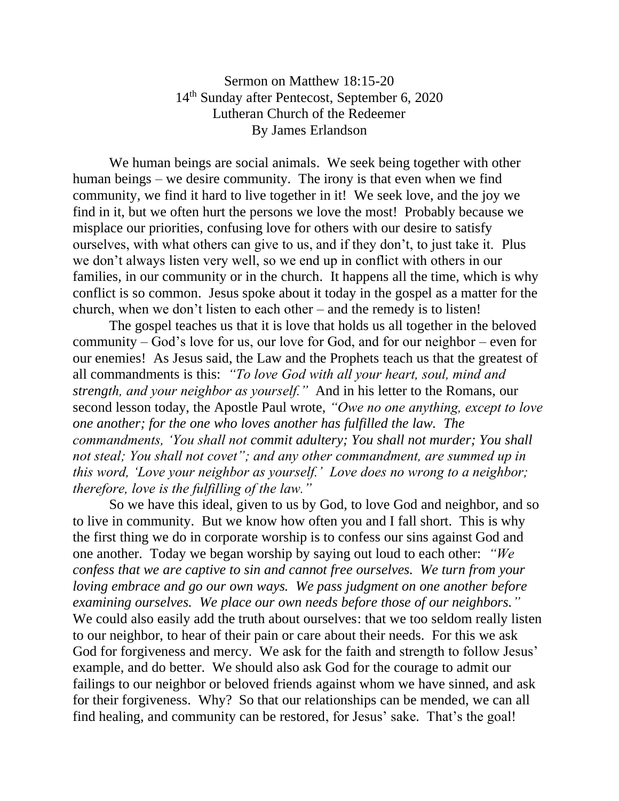Sermon on Matthew 18:15-20 14th Sunday after Pentecost, September 6, 2020 Lutheran Church of the Redeemer By James Erlandson

We human beings are social animals. We seek being together with other human beings – we desire community. The irony is that even when we find community, we find it hard to live together in it! We seek love, and the joy we find in it, but we often hurt the persons we love the most! Probably because we misplace our priorities, confusing love for others with our desire to satisfy ourselves, with what others can give to us, and if they don't, to just take it. Plus we don't always listen very well, so we end up in conflict with others in our families, in our community or in the church. It happens all the time, which is why conflict is so common. Jesus spoke about it today in the gospel as a matter for the church, when we don't listen to each other – and the remedy is to listen!

The gospel teaches us that it is love that holds us all together in the beloved community – God's love for us, our love for God, and for our neighbor – even for our enemies! As Jesus said, the Law and the Prophets teach us that the greatest of all commandments is this: *"To love God with all your heart, soul, mind and strength, and your neighbor as yourself."* And in his letter to the Romans, our second lesson today, the Apostle Paul wrote, *"Owe no one anything, except to love one another; for the one who loves another has fulfilled the law. The commandments, 'You shall not commit adultery; You shall not murder; You shall not steal; You shall not covet"; and any other commandment, are summed up in this word, 'Love your neighbor as yourself.' Love does no wrong to a neighbor; therefore, love is the fulfilling of the law."*

So we have this ideal, given to us by God, to love God and neighbor, and so to live in community. But we know how often you and I fall short. This is why the first thing we do in corporate worship is to confess our sins against God and one another. Today we began worship by saying out loud to each other: *"We confess that we are captive to sin and cannot free ourselves. We turn from your loving embrace and go our own ways. We pass judgment on one another before examining ourselves. We place our own needs before those of our neighbors."* We could also easily add the truth about ourselves: that we too seldom really listen to our neighbor, to hear of their pain or care about their needs. For this we ask God for forgiveness and mercy. We ask for the faith and strength to follow Jesus' example, and do better. We should also ask God for the courage to admit our failings to our neighbor or beloved friends against whom we have sinned, and ask for their forgiveness. Why? So that our relationships can be mended, we can all find healing, and community can be restored, for Jesus' sake. That's the goal!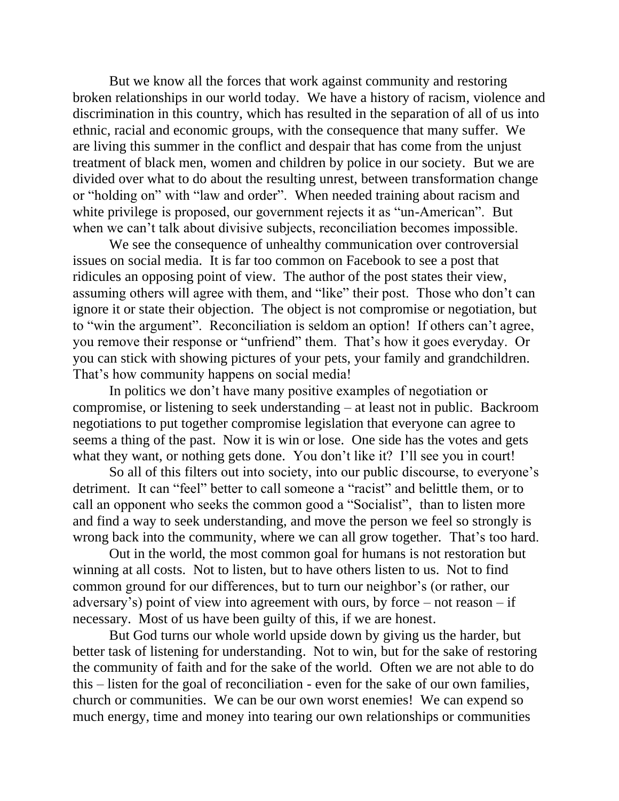But we know all the forces that work against community and restoring broken relationships in our world today. We have a history of racism, violence and discrimination in this country, which has resulted in the separation of all of us into ethnic, racial and economic groups, with the consequence that many suffer. We are living this summer in the conflict and despair that has come from the unjust treatment of black men, women and children by police in our society. But we are divided over what to do about the resulting unrest, between transformation change or "holding on" with "law and order". When needed training about racism and white privilege is proposed, our government rejects it as "un-American". But when we can't talk about divisive subjects, reconciliation becomes impossible.

We see the consequence of unhealthy communication over controversial issues on social media. It is far too common on Facebook to see a post that ridicules an opposing point of view. The author of the post states their view, assuming others will agree with them, and "like" their post. Those who don't can ignore it or state their objection. The object is not compromise or negotiation, but to "win the argument". Reconciliation is seldom an option! If others can't agree, you remove their response or "unfriend" them. That's how it goes everyday. Or you can stick with showing pictures of your pets, your family and grandchildren. That's how community happens on social media!

In politics we don't have many positive examples of negotiation or compromise, or listening to seek understanding – at least not in public. Backroom negotiations to put together compromise legislation that everyone can agree to seems a thing of the past. Now it is win or lose. One side has the votes and gets what they want, or nothing gets done. You don't like it? I'll see you in court!

So all of this filters out into society, into our public discourse, to everyone's detriment. It can "feel" better to call someone a "racist" and belittle them, or to call an opponent who seeks the common good a "Socialist", than to listen more and find a way to seek understanding, and move the person we feel so strongly is wrong back into the community, where we can all grow together. That's too hard.

Out in the world, the most common goal for humans is not restoration but winning at all costs. Not to listen, but to have others listen to us. Not to find common ground for our differences, but to turn our neighbor's (or rather, our adversary's) point of view into agreement with ours, by force – not reason – if necessary. Most of us have been guilty of this, if we are honest.

But God turns our whole world upside down by giving us the harder, but better task of listening for understanding. Not to win, but for the sake of restoring the community of faith and for the sake of the world. Often we are not able to do this – listen for the goal of reconciliation - even for the sake of our own families, church or communities. We can be our own worst enemies! We can expend so much energy, time and money into tearing our own relationships or communities